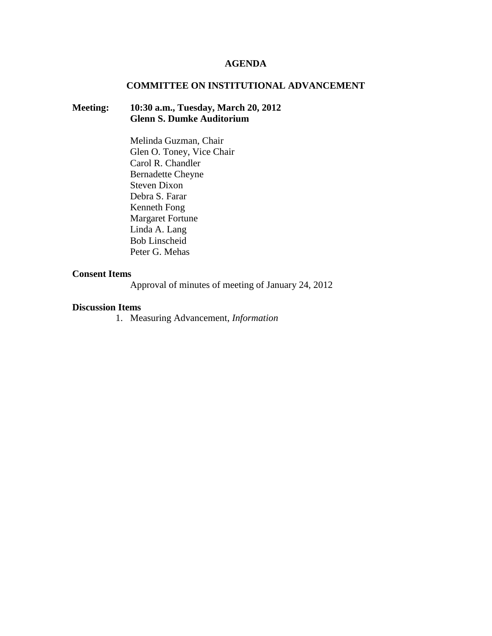# **AGENDA**

# **COMMITTEE ON INSTITUTIONAL ADVANCEMENT**

# **Meeting: 10:30 a.m., Tuesday, March 20, 2012 Glenn S. Dumke Auditorium**

Melinda Guzman, Chair Glen O. Toney, Vice Chair Carol R. Chandler Bernadette Cheyne Steven Dixon Debra S. Farar Kenneth Fong Margaret Fortune Linda A. Lang Bob Linscheid Peter G. Mehas

# **Consent Items**

Approval of minutes of meeting of January 24, 2012

# **Discussion Items**

1. Measuring Advancement, *Information*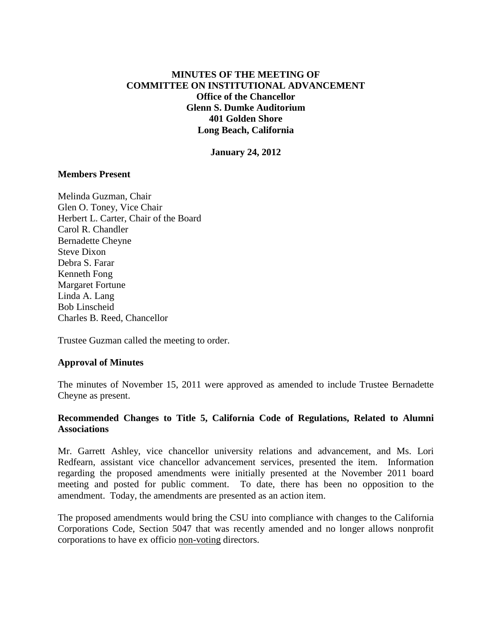# **MINUTES OF THE MEETING OF COMMITTEE ON INSTITUTIONAL ADVANCEMENT Office of the Chancellor Glenn S. Dumke Auditorium 401 Golden Shore Long Beach, California**

**January 24, 2012**

# **Members Present**

Melinda Guzman, Chair Glen O. Toney, Vice Chair Herbert L. Carter, Chair of the Board Carol R. Chandler Bernadette Cheyne Steve Dixon Debra S. Farar Kenneth Fong Margaret Fortune Linda A. Lang Bob Linscheid Charles B. Reed, Chancellor

Trustee Guzman called the meeting to order.

# **Approval of Minutes**

The minutes of November 15, 2011 were approved as amended to include Trustee Bernadette Cheyne as present.

# **Recommended Changes to Title 5, California Code of Regulations, Related to Alumni Associations**

Mr. Garrett Ashley, vice chancellor university relations and advancement, and Ms. Lori Redfearn, assistant vice chancellor advancement services, presented the item. Information regarding the proposed amendments were initially presented at the November 2011 board meeting and posted for public comment. To date, there has been no opposition to the amendment. Today, the amendments are presented as an action item.

The proposed amendments would bring the CSU into compliance with changes to the California Corporations Code, Section 5047 that was recently amended and no longer allows nonprofit corporations to have ex officio non-voting directors.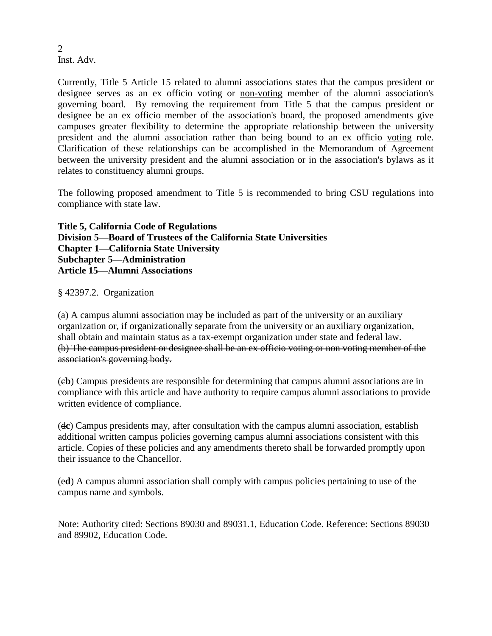$\mathfrak{D}$ Inst. Adv.

Currently, Title 5 Article 15 related to alumni associations states that the campus president or designee serves as an ex officio voting or non-voting member of the alumni association's governing board. By removing the requirement from Title 5 that the campus president or designee be an ex officio member of the association's board, the proposed amendments give campuses greater flexibility to determine the appropriate relationship between the university president and the alumni association rather than being bound to an ex officio voting role. Clarification of these relationships can be accomplished in the Memorandum of Agreement between the university president and the alumni association or in the association's bylaws as it relates to constituency alumni groups.

The following proposed amendment to Title 5 is recommended to bring CSU regulations into compliance with state law.

**Title 5, California Code of Regulations Division 5—Board of Trustees of the California State Universities Chapter 1—California State University Subchapter 5—Administration Article 15—Alumni Associations**

§ 42397.2. Organization

(a) A campus alumni association may be included as part of the university or an auxiliary organization or, if organizationally separate from the university or an auxiliary organization, shall obtain and maintain status as a tax-exempt organization under state and federal law. (b) The campus president or designee shall be an ex officio voting or non voting member of the association's governing body.

(c**b**) Campus presidents are responsible for determining that campus alumni associations are in compliance with this article and have authority to require campus alumni associations to provide written evidence of compliance.

(d**c**) Campus presidents may, after consultation with the campus alumni association, establish additional written campus policies governing campus alumni associations consistent with this article. Copies of these policies and any amendments thereto shall be forwarded promptly upon their issuance to the Chancellor.

(e**d**) A campus alumni association shall comply with campus policies pertaining to use of the campus name and symbols.

Note: Authority cited: Sections 89030 and 89031.1, Education Code. Reference: Sections 89030 and 89902, Education Code.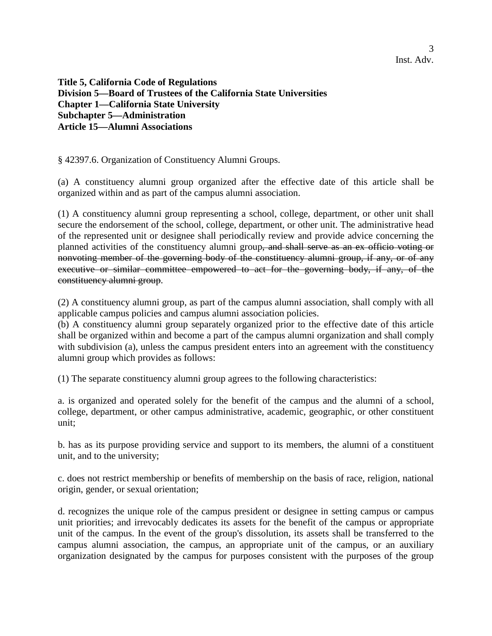**Title 5, California Code of Regulations Division 5—Board of Trustees of the California State Universities Chapter 1—California State University Subchapter 5—Administration Article 15—Alumni Associations**

§ 42397.6. Organization of Constituency Alumni Groups.

(a) A constituency alumni group organized after the effective date of this article shall be organized within and as part of the campus alumni association.

(1) A constituency alumni group representing a school, college, department, or other unit shall secure the endorsement of the school, college, department, or other unit. The administrative head of the represented unit or designee shall periodically review and provide advice concerning the planned activities of the constituency alumni group, and shall serve as an ex officio voting or nonvoting member of the governing body of the constituency alumni group, if any, or of any executive or similar committee empowered to act for the governing body, if any, of the constituency alumni group.

(2) A constituency alumni group, as part of the campus alumni association, shall comply with all applicable campus policies and campus alumni association policies.

(b) A constituency alumni group separately organized prior to the effective date of this article shall be organized within and become a part of the campus alumni organization and shall comply with subdivision (a), unless the campus president enters into an agreement with the constituency alumni group which provides as follows:

(1) The separate constituency alumni group agrees to the following characteristics:

a. is organized and operated solely for the benefit of the campus and the alumni of a school, college, department, or other campus administrative, academic, geographic, or other constituent unit;

b. has as its purpose providing service and support to its members, the alumni of a constituent unit, and to the university;

c. does not restrict membership or benefits of membership on the basis of race, religion, national origin, gender, or sexual orientation;

d. recognizes the unique role of the campus president or designee in setting campus or campus unit priorities; and irrevocably dedicates its assets for the benefit of the campus or appropriate unit of the campus. In the event of the group's dissolution, its assets shall be transferred to the campus alumni association, the campus, an appropriate unit of the campus, or an auxiliary organization designated by the campus for purposes consistent with the purposes of the group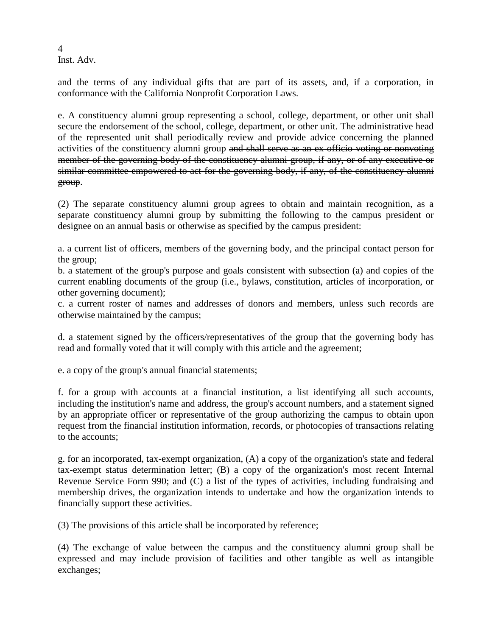$\overline{A}$ Inst. Adv.

and the terms of any individual gifts that are part of its assets, and, if a corporation, in conformance with the California Nonprofit Corporation Laws.

e. A constituency alumni group representing a school, college, department, or other unit shall secure the endorsement of the school, college, department, or other unit. The administrative head of the represented unit shall periodically review and provide advice concerning the planned activities of the constituency alumni group and shall serve as an ex officio voting or nonvoting member of the governing body of the constituency alumni group, if any, or of any executive or similar committee empowered to act for the governing body, if any, of the constituency alumni group.

(2) The separate constituency alumni group agrees to obtain and maintain recognition, as a separate constituency alumni group by submitting the following to the campus president or designee on an annual basis or otherwise as specified by the campus president:

a. a current list of officers, members of the governing body, and the principal contact person for the group;

b. a statement of the group's purpose and goals consistent with subsection (a) and copies of the current enabling documents of the group (i.e., bylaws, constitution, articles of incorporation, or other governing document);

c. a current roster of names and addresses of donors and members, unless such records are otherwise maintained by the campus;

d. a statement signed by the officers/representatives of the group that the governing body has read and formally voted that it will comply with this article and the agreement;

e. a copy of the group's annual financial statements;

f. for a group with accounts at a financial institution, a list identifying all such accounts, including the institution's name and address, the group's account numbers, and a statement signed by an appropriate officer or representative of the group authorizing the campus to obtain upon request from the financial institution information, records, or photocopies of transactions relating to the accounts;

g. for an incorporated, tax-exempt organization, (A) a copy of the organization's state and federal tax-exempt status determination letter; (B) a copy of the organization's most recent Internal Revenue Service Form 990; and (C) a list of the types of activities, including fundraising and membership drives, the organization intends to undertake and how the organization intends to financially support these activities.

(3) The provisions of this article shall be incorporated by reference;

(4) The exchange of value between the campus and the constituency alumni group shall be expressed and may include provision of facilities and other tangible as well as intangible exchanges;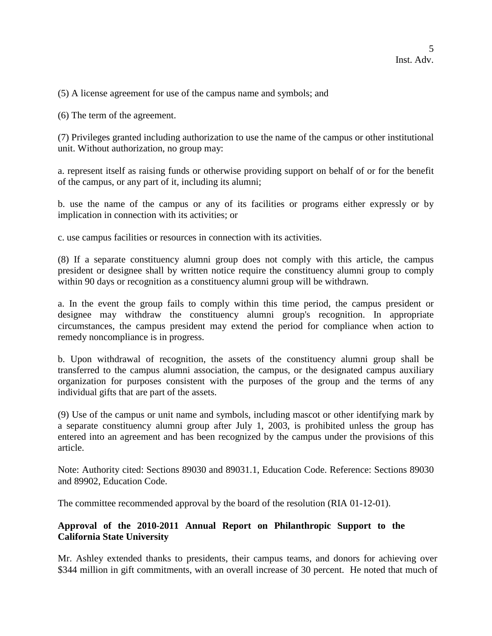(5) A license agreement for use of the campus name and symbols; and

(6) The term of the agreement.

(7) Privileges granted including authorization to use the name of the campus or other institutional unit. Without authorization, no group may:

a. represent itself as raising funds or otherwise providing support on behalf of or for the benefit of the campus, or any part of it, including its alumni;

b. use the name of the campus or any of its facilities or programs either expressly or by implication in connection with its activities; or

c. use campus facilities or resources in connection with its activities.

(8) If a separate constituency alumni group does not comply with this article, the campus president or designee shall by written notice require the constituency alumni group to comply within 90 days or recognition as a constituency alumni group will be withdrawn.

a. In the event the group fails to comply within this time period, the campus president or designee may withdraw the constituency alumni group's recognition. In appropriate circumstances, the campus president may extend the period for compliance when action to remedy noncompliance is in progress.

b. Upon withdrawal of recognition, the assets of the constituency alumni group shall be transferred to the campus alumni association, the campus, or the designated campus auxiliary organization for purposes consistent with the purposes of the group and the terms of any individual gifts that are part of the assets.

(9) Use of the campus or unit name and symbols, including mascot or other identifying mark by a separate constituency alumni group after July 1, 2003, is prohibited unless the group has entered into an agreement and has been recognized by the campus under the provisions of this article.

Note: Authority cited: Sections 89030 and 89031.1, Education Code. Reference: Sections 89030 and 89902, Education Code.

The committee recommended approval by the board of the resolution (RIA 01-12-01).

# **Approval of the 2010-2011 Annual Report on Philanthropic Support to the California State University**

Mr. Ashley extended thanks to presidents, their campus teams, and donors for achieving over \$344 million in gift commitments, with an overall increase of 30 percent. He noted that much of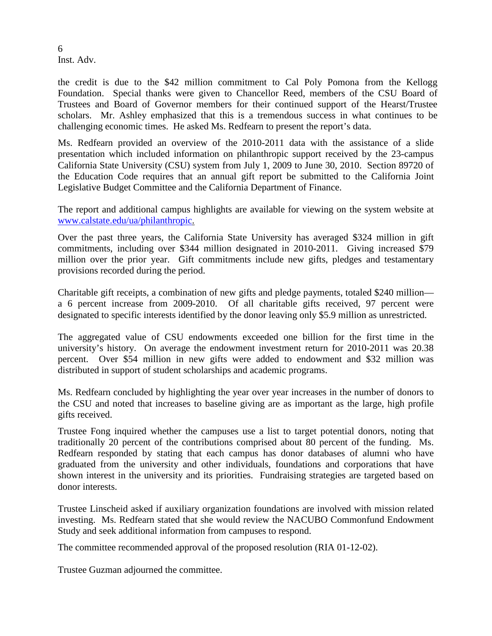6 Inst. Adv.

the credit is due to the \$42 million commitment to Cal Poly Pomona from the Kellogg Foundation. Special thanks were given to Chancellor Reed, members of the CSU Board of Trustees and Board of Governor members for their continued support of the Hearst/Trustee scholars. Mr. Ashley emphasized that this is a tremendous success in what continues to be challenging economic times. He asked Ms. Redfearn to present the report's data.

Ms. Redfearn provided an overview of the 2010-2011 data with the assistance of a slide presentation which included information on philanthropic support received by the 23-campus California State University (CSU) system from July 1, 2009 to June 30, 2010. Section 89720 of the Education Code requires that an annual gift report be submitted to the California Joint Legislative Budget Committee and the California Department of Finance.

The report and additional campus highlights are available for viewing on the system website at [www.calstate.edu/ua/philanthropic.](http://www.calstate.edu/ua/philanthropic)

Over the past three years, the California State University has averaged \$324 million in gift commitments, including over \$344 million designated in 2010-2011. Giving increased \$79 million over the prior year. Gift commitments include new gifts, pledges and testamentary provisions recorded during the period.

Charitable gift receipts, a combination of new gifts and pledge payments, totaled \$240 million a 6 percent increase from 2009-2010. Of all charitable gifts received, 97 percent were designated to specific interests identified by the donor leaving only \$5.9 million as unrestricted.

The aggregated value of CSU endowments exceeded one billion for the first time in the university's history. On average the endowment investment return for 2010-2011 was 20.38 percent. Over \$54 million in new gifts were added to endowment and \$32 million was distributed in support of student scholarships and academic programs.

Ms. Redfearn concluded by highlighting the year over year increases in the number of donors to the CSU and noted that increases to baseline giving are as important as the large, high profile gifts received.

Trustee Fong inquired whether the campuses use a list to target potential donors, noting that traditionally 20 percent of the contributions comprised about 80 percent of the funding. Ms. Redfearn responded by stating that each campus has donor databases of alumni who have graduated from the university and other individuals, foundations and corporations that have shown interest in the university and its priorities. Fundraising strategies are targeted based on donor interests.

Trustee Linscheid asked if auxiliary organization foundations are involved with mission related investing. Ms. Redfearn stated that she would review the NACUBO Commonfund Endowment Study and seek additional information from campuses to respond.

The committee recommended approval of the proposed resolution (RIA 01-12-02).

Trustee Guzman adjourned the committee.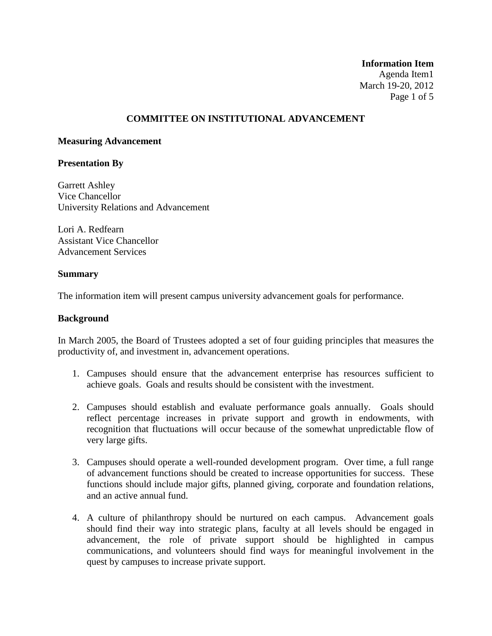## **Information Item**

Agenda Item1 March 19-20, 2012 Page 1 of 5

# **COMMITTEE ON INSTITUTIONAL ADVANCEMENT**

# **Measuring Advancement**

# **Presentation By**

Garrett Ashley Vice Chancellor University Relations and Advancement

Lori A. Redfearn Assistant Vice Chancellor Advancement Services

# **Summary**

The information item will present campus university advancement goals for performance.

# **Background**

In March 2005, the Board of Trustees adopted a set of four guiding principles that measures the productivity of, and investment in, advancement operations.

- 1. Campuses should ensure that the advancement enterprise has resources sufficient to achieve goals. Goals and results should be consistent with the investment.
- 2. Campuses should establish and evaluate performance goals annually. Goals should reflect percentage increases in private support and growth in endowments, with recognition that fluctuations will occur because of the somewhat unpredictable flow of very large gifts.
- 3. Campuses should operate a well-rounded development program. Over time, a full range of advancement functions should be created to increase opportunities for success. These functions should include major gifts, planned giving, corporate and foundation relations, and an active annual fund.
- 4. A culture of philanthropy should be nurtured on each campus. Advancement goals should find their way into strategic plans, faculty at all levels should be engaged in advancement, the role of private support should be highlighted in campus communications, and volunteers should find ways for meaningful involvement in the quest by campuses to increase private support.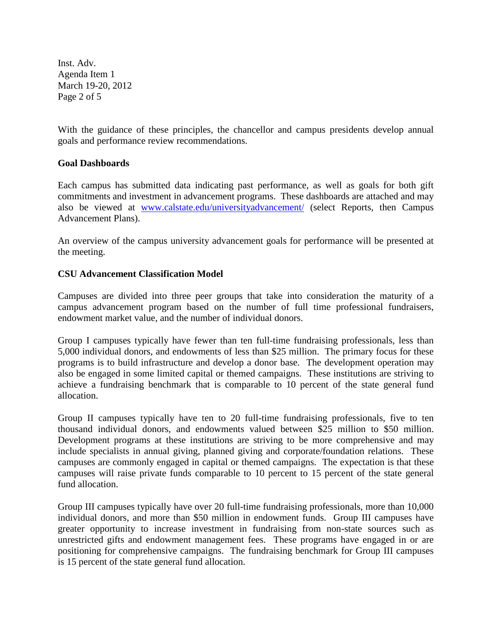Inst. Adv. Agenda Item 1 March 19-20, 2012 Page 2 of 5

With the guidance of these principles, the chancellor and campus presidents develop annual goals and performance review recommendations.

# **Goal Dashboards**

Each campus has submitted data indicating past performance, as well as goals for both gift commitments and investment in advancement programs. These dashboards are attached and may also be viewed at [www.calstate.edu/universityadvancement/](http://www.calstate.edu/universityadvancement/) (select Reports, then Campus Advancement Plans).

An overview of the campus university advancement goals for performance will be presented at the meeting.

# **CSU Advancement Classification Model**

Campuses are divided into three peer groups that take into consideration the maturity of a campus advancement program based on the number of full time professional fundraisers, endowment market value, and the number of individual donors.

Group I campuses typically have fewer than ten full-time fundraising professionals, less than 5,000 individual donors, and endowments of less than \$25 million. The primary focus for these programs is to build infrastructure and develop a donor base. The development operation may also be engaged in some limited capital or themed campaigns. These institutions are striving to achieve a fundraising benchmark that is comparable to 10 percent of the state general fund allocation.

Group II campuses typically have ten to 20 full-time fundraising professionals, five to ten thousand individual donors, and endowments valued between \$25 million to \$50 million. Development programs at these institutions are striving to be more comprehensive and may include specialists in annual giving, planned giving and corporate/foundation relations. These campuses are commonly engaged in capital or themed campaigns. The expectation is that these campuses will raise private funds comparable to 10 percent to 15 percent of the state general fund allocation.

Group III campuses typically have over 20 full-time fundraising professionals, more than 10,000 individual donors, and more than \$50 million in endowment funds. Group III campuses have greater opportunity to increase investment in fundraising from non-state sources such as unrestricted gifts and endowment management fees. These programs have engaged in or are positioning for comprehensive campaigns. The fundraising benchmark for Group III campuses is 15 percent of the state general fund allocation.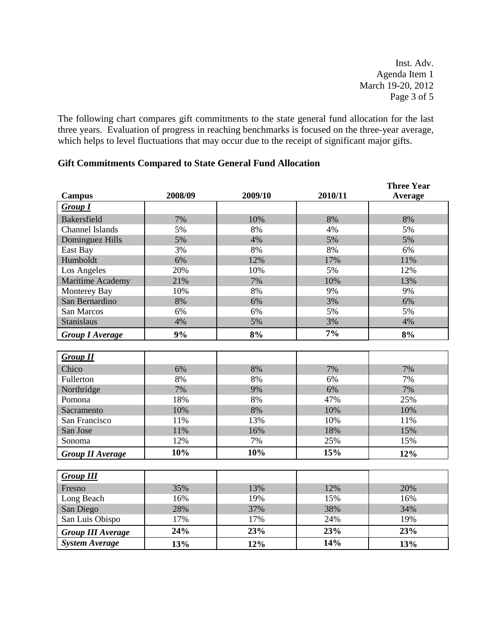Inst. Adv. Agenda Item 1 March 19-20, 2012 Page 3 of 5

The following chart compares gift commitments to the state general fund allocation for the last three years. Evaluation of progress in reaching benchmarks is focused on the three-year average, which helps to level fluctuations that may occur due to the receipt of significant major gifts.

|                          |         |         |         | <b>Three Year</b> |
|--------------------------|---------|---------|---------|-------------------|
| <b>Campus</b>            | 2008/09 | 2009/10 | 2010/11 | Average           |
| <b>Group I</b>           |         |         |         |                   |
| <b>Bakersfield</b>       | 7%      | 10%     | 8%      | 8%                |
| <b>Channel Islands</b>   | 5%      | 8%      | 4%      | 5%                |
| Dominguez Hills          | 5%      | 4%      | 5%      | 5%                |
| East Bay                 | 3%      | 8%      | 8%      | 6%                |
| Humboldt                 | 6%      | 12%     | 17%     | 11%               |
| Los Angeles              | 20%     | 10%     | 5%      | 12%               |
| Maritime Academy         | 21%     | 7%      | 10%     | 13%               |
| Monterey Bay             | 10%     | 8%      | 9%      | 9%                |
| San Bernardino           | 8%      | 6%      | 3%      | 6%                |
| San Marcos               | 6%      | 6%      | 5%      | 5%                |
| <b>Stanislaus</b>        | 4%      | 5%      | 3%      | 4%                |
| <b>Group I Average</b>   | 9%      | 8%      | 7%      | 8%                |
|                          |         |         |         |                   |
| <b>Group II</b>          |         |         |         |                   |
| Chico                    | 6%      | 8%      | 7%      | 7%                |
| Fullerton                | 8%      | 8%      | 6%      | 7%                |
| Northridge               | 7%      | 9%      | 6%      | 7%                |
| Pomona                   | 18%     | 8%      | 47%     | 25%               |
| Sacramento               | 10%     | 8%      | 10%     | 10%               |
| San Francisco            | 11%     | 13%     | 10%     | 11%               |
| San Jose                 | 11%     | 16%     | 18%     | 15%               |
| Sonoma                   | 12%     | 7%      | 25%     | 15%               |
| <b>Group II Average</b>  | 10%     | 10%     | 15%     | 12%               |
|                          |         |         |         |                   |
| <b>Group III</b>         |         |         |         |                   |
| Fresno                   | 35%     | 13%     | 12%     | 20%               |
| Long Beach               | 16%     | 19%     | 15%     | 16%               |
| San Diego                | 28%     | 37%     | 38%     | 34%               |
| San Luis Obispo          | 17%     | 17%     | 24%     | 19%               |
| <b>Group III Average</b> | 24%     | 23%     | 23%     | 23%               |
| <b>System Average</b>    | 13%     | 12%     | 14%     | 13%               |

# **Gift Commitments Compared to State General Fund Allocation**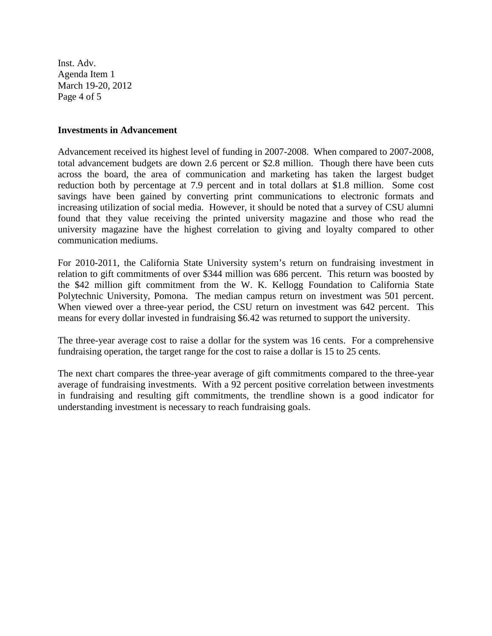Inst. Adv. Agenda Item 1 March 19-20, 2012 Page 4 of 5

# **Investments in Advancement**

Advancement received its highest level of funding in 2007-2008. When compared to 2007-2008, total advancement budgets are down 2.6 percent or \$2.8 million. Though there have been cuts across the board, the area of communication and marketing has taken the largest budget reduction both by percentage at 7.9 percent and in total dollars at \$1.8 million. Some cost savings have been gained by converting print communications to electronic formats and increasing utilization of social media. However, it should be noted that a survey of CSU alumni found that they value receiving the printed university magazine and those who read the university magazine have the highest correlation to giving and loyalty compared to other communication mediums.

For 2010-2011, the California State University system's return on fundraising investment in relation to gift commitments of over \$344 million was 686 percent. This return was boosted by the \$42 million gift commitment from the W. K. Kellogg Foundation to California State Polytechnic University, Pomona. The median campus return on investment was 501 percent. When viewed over a three-year period, the CSU return on investment was 642 percent. This means for every dollar invested in fundraising \$6.42 was returned to support the university.

The three-year average cost to raise a dollar for the system was 16 cents. For a comprehensive fundraising operation, the target range for the cost to raise a dollar is 15 to 25 cents.

The next chart compares the three-year average of gift commitments compared to the three-year average of fundraising investments. With a 92 percent positive correlation between investments in fundraising and resulting gift commitments, the trendline shown is a good indicator for understanding investment is necessary to reach fundraising goals.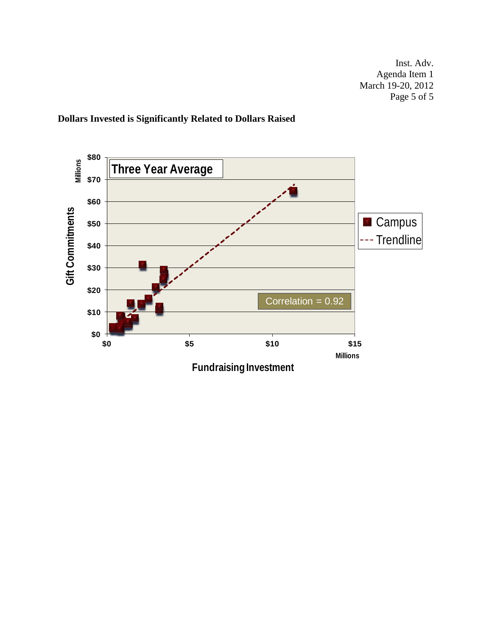Inst. Adv. Agenda Item 1 March 19-20, 2012 Page 5 of 5



# **Dollars Invested is Significantly Related to Dollars Raised**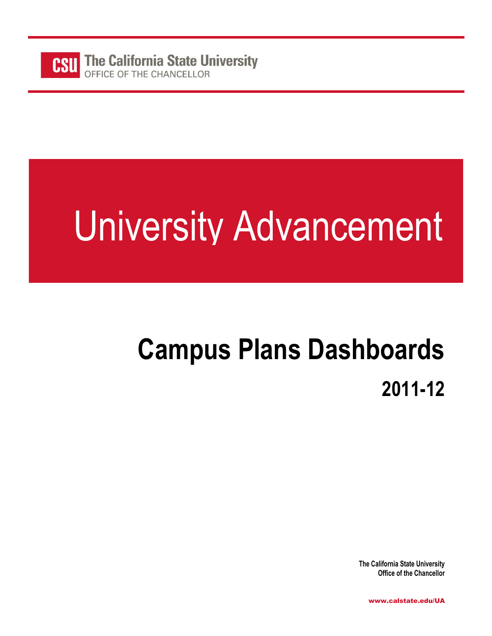

# University Advancement

# **Campus Plans Dashboards 2011-12**

**The California State University Office of the Chancellor**

www.calstate.edu/UA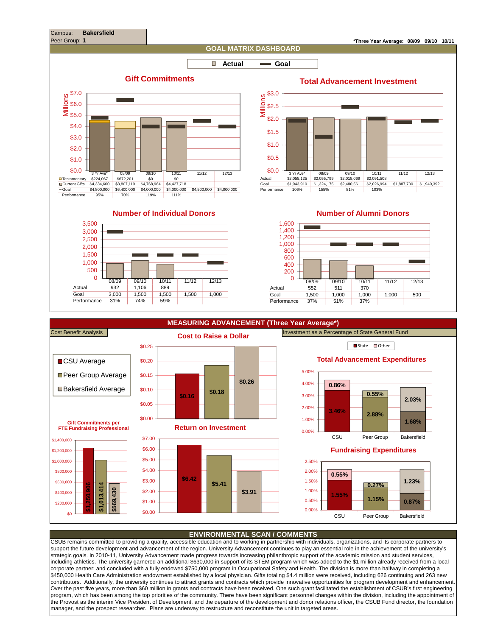

CSUB remains committed to providing a quality, accessible education and to working in partnership with individuals, organizations, and its corporate partners to support the future development and advancement of the region. University Advancement continues to play an essential role in the achievement of the university's strategic goals. In 2010-11, University Advancement made progress towards increasing philanthropic support of the academic mission and student services, including athletics. The university garnered an additional \$630,000 in support of its STEM program which was added to the \$1 million already received from a local corporate partner; and concluded with a fully endowed \$750,000 program in Occupational Safety and Health. The division is more than halfway in completing a \$450,000 Health Care Administration endowment established by a local physician. Gifts totaling \$4.4 million were received, including 626 continuing and 263 new contributors. Additionally, the university continues to attract grants and contracts which provide innovative opportunities for program development and enhancement. Over the past five years, more than \$60 million in grants and contracts have been received. One such grant facilitated the establishment of CSUB's first engineering program, which has been among the top priorities of the community. There have been significant personnel changes within the division, including the appointment of the Provost as the interim Vice President of Development, and the departure of the development and donor relations officer, the CSUB Fund director, the foundation manager, and the prospect researcher. Plans are underway to restructure and reconstitute the unit in targeted areas.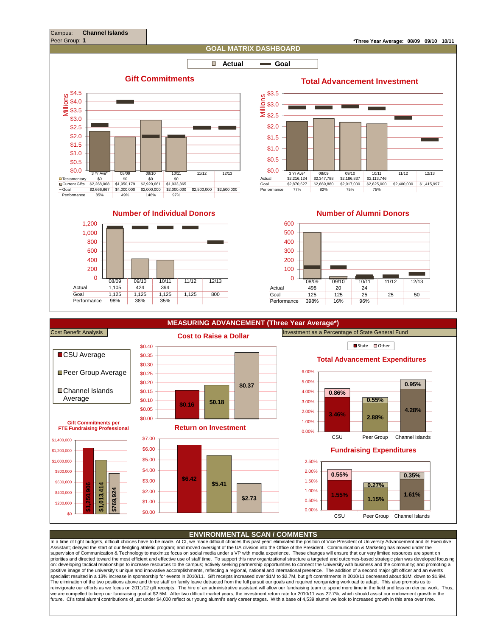

In a time of tight budgets, difficult choices have to be made. At CI, we made difficult choices this past year: eliminated the position of Vice President of University Advancement and its Executive Assistant; delayed the start of our fledgling athletic program; and moved oversight of the UA division into the Office of the President. Communication & Marketing has moved under the supervision of Communication & Technology to maximize focus on social media under a VP with media experience. These changes will ensure that our very limited resources are spent on priorities and directed toward the most efficient and effective use of staff time. To support this new organizational structure a targeted and outcomes-based strategic plan was developed focusing on: developing tactical relationships to increase resources to the campus; actively seeking partnership opportunities to connect the University with business and the community; and promoting a positive image of the university's unique and innovative accomplishments, reflecting a regional, national and international presence. The addition of a second major gift officer and an events specialist resulted in a 13% increase in sponsorship for events in 2010/11. Gift receipts increased over \$1M to \$2.7M, but gift commitments in 2010/11 decreased about \$1M, down to \$1.9M. The elimination of the two positions above and three staff on family leave detracted from the full pursuit our goals and required reorganizing workload to adapt. This also prompts us to reinvigorate our efforts as we focus on 2011/12 gift receipts. The hire of an administrative assistant will allow our fundraising team to spend more time in the field and less on clerical work. Thus,<br>we are compelled to ke future. CI's total alumni contributions of just under \$4,000 reflect our young alumni's early career stages. With a base of 4,539 alumni we look to increased growth in this area over time.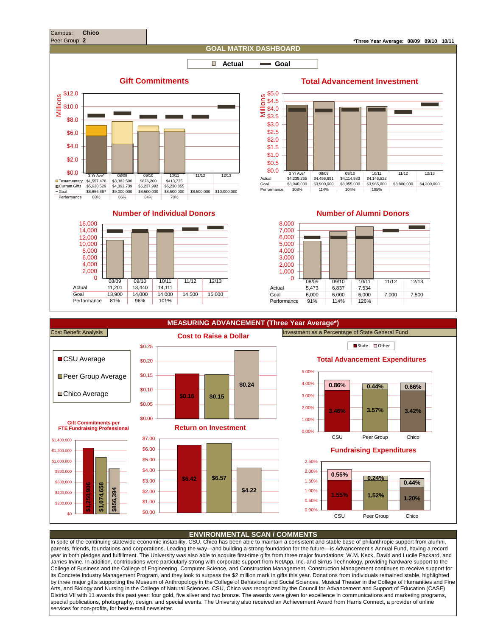

In spite of the continuing statewide economic instability, CSU, Chico has been able to maintain a consistent and stable base of philanthropic support from alumni, parents, friends, foundations and corporations. Leading the way—and building a strong foundation for the future—is Advancement's Annual Fund, having a record year in both pledges and fulfillment. The University was also able to acquire first-time gifts from three major foundations: W.M. Keck, David and Lucile Packard, and James Irvine. In addition, contributions were particularly strong with corporate support from NetApp, Inc. and Sirrus Technology, providing hardware support to the College of Business and the College of Engineering, Computer Science, and Construction Management. Construction Management continues to receive support for its Concrete Industry Management Program, and they look to surpass the \$2 million mark in gifts this year. Donations from individuals remained stable, highlighted by three major gifts supporting the Museum of Anthropology in the College of Behavioral and Social Sciences, Musical Theater in the College of Humanities and Fine Arts, and Biology and Nursing in the College of Natural Sciences. CSU, Chico was recognized by the Council for Advancement and Support of Education (CASE) District VII with 11 awards this past year: four gold, five silver and two bronze. The awards were given for excellence in communications and marketing programs, special publications, photography, design, and special events. The University also received an Achievement Award from Harris Connect, a provider of online services for non-profits, for best e-mail newsletter.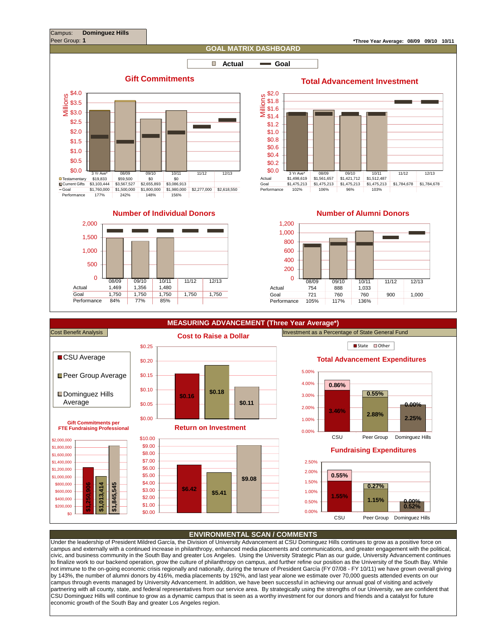

Under the leadership of President Mildred García, the Division of University Advancement at CSU Dominguez Hills continues to grow as a positive force on campus and externally with a continued increase in philanthropy, enhanced media placements and communications, and greater engagement with the political, civic, and business community in the South Bay and greater Los Angeles. Using the University Strategic Plan as our guide, University Advancement continues to finalize work to our backend operation, grow the culture of philanthropy on campus, and further refine our position as the University of the South Bay. While not immune to the on-going economic crisis regionally and nationally, during the tenure of President García (FY 07/08 - FY 10/11) we have grown overall giving by 143%, the number of alumni donors by 416%, media placements by 192%, and last year alone we estimate over 70,000 guests attended events on our campus through events managed by University Advancement. In addition, we have been successful in achieving our annual goal of visiting and actively partnering with all county, state, and federal representatives from our service area. By strategically using the strengths of our University, we are confident that CSU Dominguez Hills will continue to grow as a dynamic campus that is seen as a worthy investment for our donors and friends and a catalyst for future economic growth of the South Bay and greater Los Angeles region.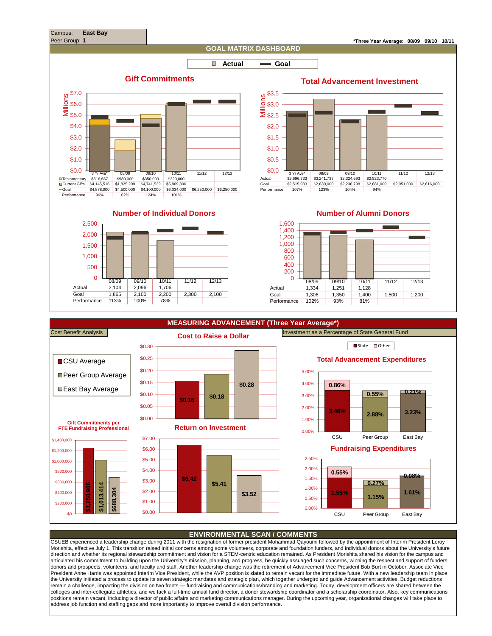

CSUEB experienced a leadership change during 2011 with the resignation of former president Mohammad Qayoumi followed by the appointment of Interim President Leroy Morishita, effective July 1. This transition raised initial concerns among some volunteers, corporate and foundation funders, and individual donors about the University's future direction and whether its regional stewardship commitment and vision for a STEM-centric education remained. As President Morishita shared his vision for the campus and articulated his commitment to building upon the University's mission, planning, and progress, he quickly assuaged such concerns, winning the respect and support of funders, donors and prospects, volunteers, and faculty and staff. Another leadership change was the retirement of Advancement Vice President Bob Burt in October. Associate Vice President Anne Harris was appointed Interim Vice President, while the AVP position is slated to remain vacant for the immediate future. With a new leadership team in place the University initiated a process to update its seven strategic mandates and strategic plan, which together undergird and guide Advancement activities. Budget reductions remain a challenge, impacting the division on two fronts — fundraising and communications/branding and marketing. Today, development officers are shared between the<br>colleges and inter-collegiate athletics, and we lack a fu positions remain vacant, including a director of public affairs and marketing communications manager. During the upcoming year, organizational changes will take place to address job function and staffing gaps and more importantly to improve overall division performance.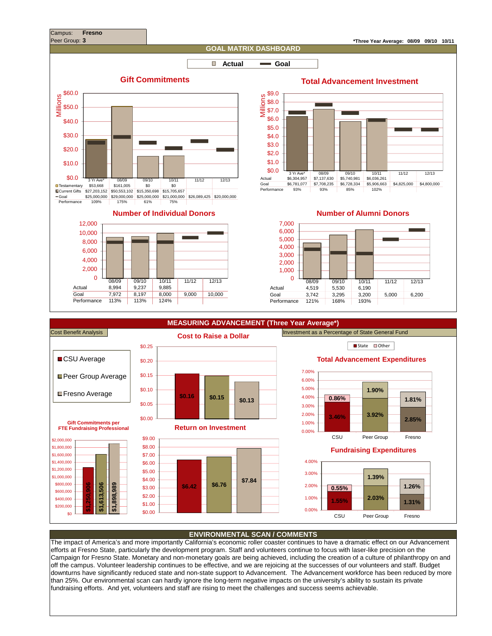

The impact of America's and more importantly California's economic roller coaster continues to have a dramatic effect on our Advancement efforts at Fresno State, particularly the development program. Staff and volunteers continue to focus with laser-like precision on the Campaign for Fresno State. Monetary and non-monetary goals are being achieved, including the creation of a culture of philanthropy on and off the campus. Volunteer leadership continues to be effective, and we are rejoicing at the successes of our volunteers and staff. Budget downturns have significantly reduced state and non-state support to Advancement. The Advancement workforce has been reduced by more than 25%. Our environmental scan can hardly ignore the long-term negative impacts on the university's ability to sustain its private fundraising efforts. And yet, volunteers and staff are rising to meet the challenges and success seems achievable.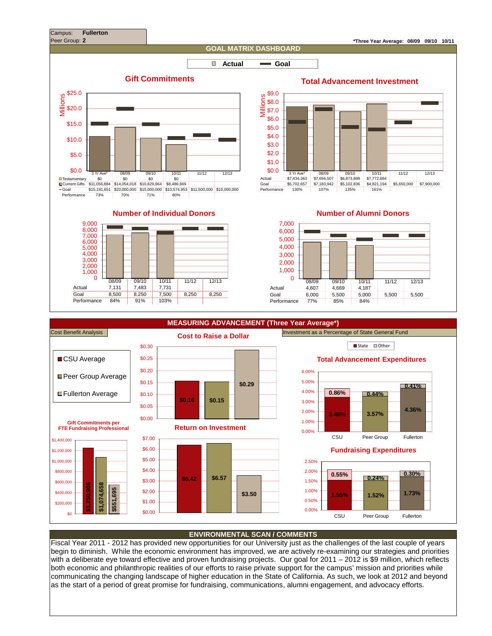

Fiscal Year 2011 - 2012 has provided new opportunities for our University just as the challenges of the last couple of years begin to diminish. While the economic environment has improved, we are actively re-examining our strategies and priorities with a deliberate eye toward effective and proven fundraising projects. Our goal for 2011 – 2012 is \$9 million, which reflects both economic and philanthropic realities of our efforts to raise private support for the campus' mission and priorities while communicating the changing landscape of higher education in the State of California. As such, we look at 2012 and beyond as the start of a period of great promise for fundraising, communications, alumni engagement, and advocacy efforts.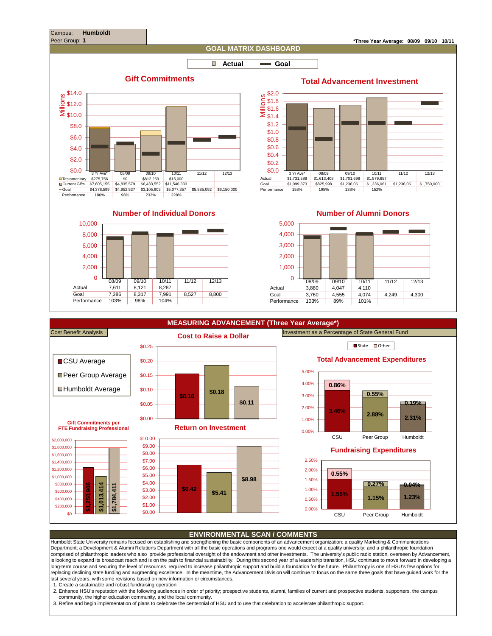

Humboldt State University remains focused on establishing and strengthening the basic components of an advancement organization: a quality Marketing & Communications Department; a Development & Alumni Relations Department with all the basic operations and programs one would expect at a quality university; and a philanthropic foundation comprised of philanthropic leaders who also provide professional oversight of the endowment and other investments. The university's public radio station, overseen by Advancement, is looking to expand its broadcast reach and is on the path to financial sustainability. During this second year of a leadership transition, HSU continues to move forward in developing a long-term course and securing the level of resources required to increase philanthropic support and build a foundation for the future. Philanthropy is one of HSU's few options for replacing declining state funding and augmenting excellence. In the meantime, the Advancement Division will continue to focus on the same three goals that have guided work for the last several years, with some revisions based on new information or circumstances.

1. Create a sustainable and robust fundraising operation.

2. Enhance HSU's reputation with the following audiences in order of priority; prospective students, alumni, families of current and prospective students, supporters, the campus community, the higher education community, and the local community.

3. Refine and begin implementation of plans to celebrate the centennial of HSU and to use that celebration to accelerate philanthropic support.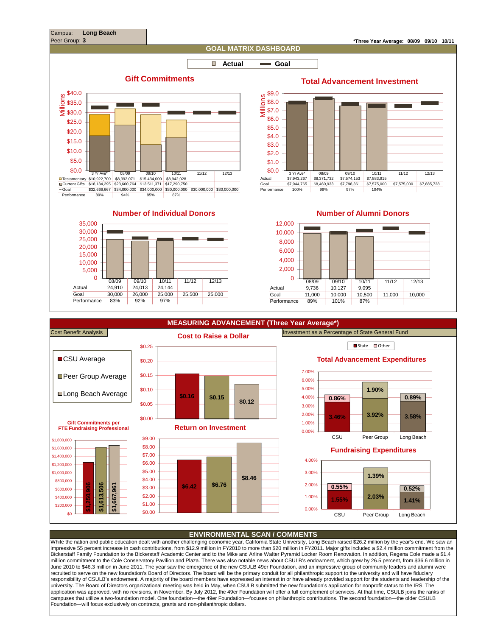

While the nation and public education dealt with another challenging economic year, California State University, Long Beach raised \$26.2 million by the year's end. We saw an impressive 55 percent increase in cash contributions, from \$12.9 million in FY2010 to more than \$20 million in FY2011. Major gifts included a \$2.4 million commitment from the Bickerstaff Family Foundation to the Bickerstaff Academic Center and to the Mike and Arline Walter Pyramid Locker Room Renovation. In addition, Regena Cole made a \$1.4 million commitment to the Cole Conservatory Pavilion and Plaza. There was also notable news about CSULB's endowment, which grew by 26.5 percent, from \$36.6 million in June 2010 to \$46.3 million in June 2011. The year saw the emergence of the new CSULB 49er Foundation, and an impressive group of community leaders and alumni were recruited to serve on the new foundation's Board of Directors. The board will be the primary conduit for all philanthropic support to the university and will have fiduciary responsibility of CSULB's endowment. A majority of the board members have expressed an interest in or have already provided support for the students and leadership of the university. The Board of Directors organizational meeting was held in May, when CSULB submitted the new foundation's application for nonprofit status to the IRS. The application was approved, with no revisions, in November. By July 2012, the 49er Foundation will offer a full complement of services. At that time, CSULB joins the ranks of<br>campuses that utilize a two-foundation model. One Foundation—will focus exclusively on contracts, grants and non-philanthropic dollars.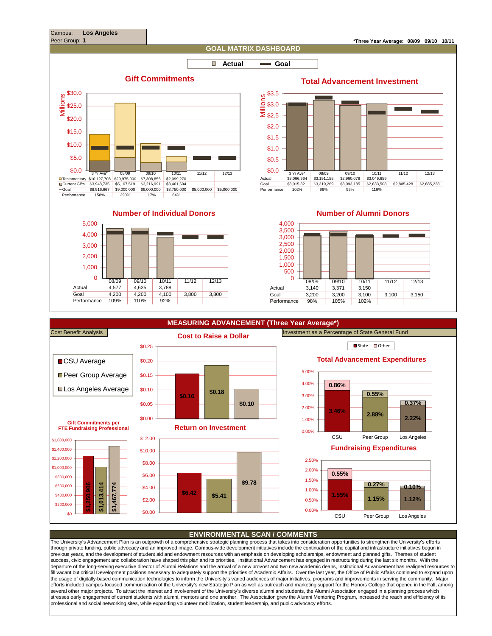

The University's Advancement Plan is an outgrowth of a comprehensive strategic planning process that takes into consideration opportunities to strengthen the University's efforts through private funding, public advocacy and an improved image. Campus-wide development initiatives include the continuation of the capital and infrastructure initiatives begun in previous years, and the development of student aid and endowment resources with an emphasis on developing scholarships, endowment and planned gifts. Themes of student .<br>success, civic engagement and collaboration have shaped this plan and its priorities. Institutional Advancement has engaged in restructuring during the last six months. With the departure of the long-serving executive director of Alumni Relations and the arrival of a new provost and two new academic deans, Institutional Advancement has realigned resources to fill vacant but critical Development positions necessary to adequately support the priorities of Academic Affairs. Over the last year, the Office of Public Affairs continued to expand upon the usage of digitally-based communication technologies to inform the University's varied audiences of major initiatives, programs and improvements in serving the community. Major efforts included campus-focused communication of the University's new Strategic Plan as well as outreach and marketing support for the Honors College that opened in the Fall, among several other major projects. To attract the interest and involvement of the University's diverse alumni and students, the Alumni Association engaged in a planning process which stresses early engagement of current students with alumni, mentors and one another. The Association grew the Alumni Mentoring Program, increased the reach and efficiency of its professional and social networking sites, while expanding volunteer mobilization, student leadership, and public advocacy efforts.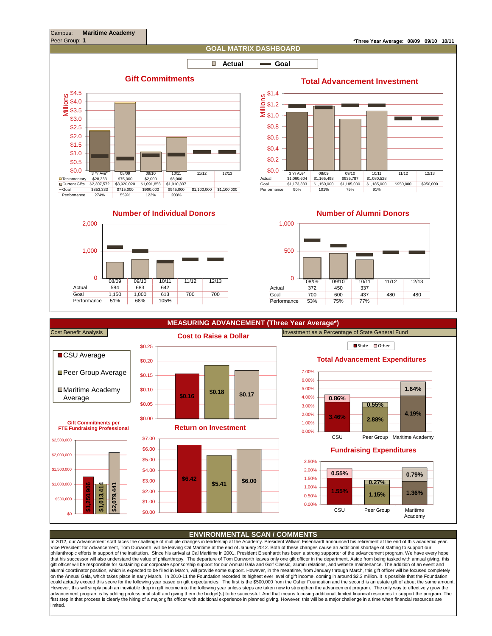

In 2012, our Advancement staff faces the challenge of multiple changes in leadership at the Academy. President William Eisenhardt announced his retirement at the end of this academic year. Vice President for Advancement, Tom Dunworth, will be leaving Cal Maritime at the end of January 2012. Both of these changes cause an additional shortage of staffing to support our philanthropic efforts in support of the institution. Since his arrival at Cal Maritime in 2001, President Eisenhardt has been a strong supporter of the advancement program. We have every hope that his successor will also understand the value of philanthropy. The departure of Tom Dunworth leaves only one gift officer in the department. Aside from being tasked with annual giving, this gift officer will be responsible for sustaining our corporate sponsorship support for our Annual Gala and Golf Classic, alumni relations, and website maintenance. The addition of an event and <sub>.</sub><br>alumni coordinator position, which is expected to be filled in March, will provide some support. However, in the meantime, from January through March, this gift officer will be focused completely on the Annual Gala, which takes place in early March. In 2010-11 the Foundation recorded its highest ever level of gift income, coming in around \$2.3 million. It is possible that the Foundation could actually exceed this score for the following year based on gift expectancies. The first is the \$500,000 from the Osher Foundation and the second is an estate gift of about the same amount. However, this will simply push an inevitable drop in gift income into the following year unless steps are taken now to strengthen the advancement program. The only way to effectively grow the<br>advancement program is by addi first step in that process is clearly the hiring of a major gifts officer with additional experience in planned giving. However, this will be a major challenge in a time when financial resources are imited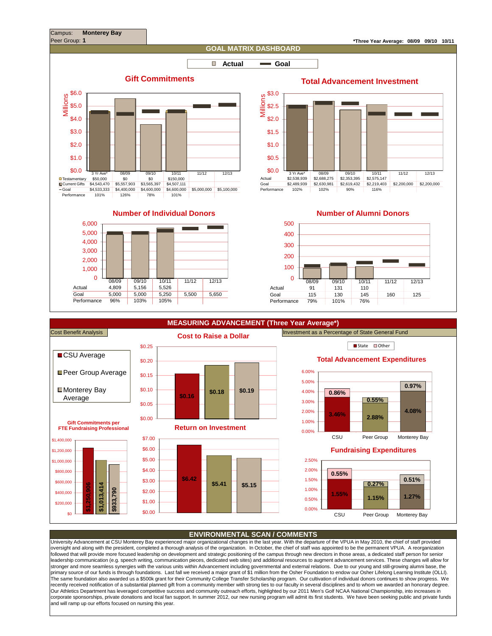

University Advancement at CSU Monterey Bay experienced major organizational changes in the last year. With the departure of the VPUA in May 2010, the chief of staff provided oversight and along with the president, completed a thorough analysis of the organization. In October, the chief of staff was appointed to be the permanent VPUA. A reorganization followed that will provide more focused leadership on development and strategic positioning of the campus through new directors in those areas, a dedicated staff person for senior<br>leadership communication (e.g. speech writ stronger and more seamless synergies with the various units within Advancement including governmental and external relations. Due to our young and still-growing alumni base, the primary source of our funds is through foundations. Last fall we received a major grant of \$1 million from the Osher Foundation to endow our Osher Lifelong Learning Institute (OLLI). .<br>The same foundation also awarded us a \$500k grant for their Community College Transfer Scholarship program. Our cultivation of individual donors continues to show progress. We recently received notification of a substantial planned gift from a community member with strong ties to our faculty in several disciplines and to whom we awarded an honorary degree. Our Athletics Department has leveraged competitive success and community outreach efforts, highlighted by our 2011 Men's Golf NCAA National Championship, into increases in corporate sponsorships, private donations and local fan support. In summer 2012, our new nursing program will admit its first students. We have been seeking public and private funds and will ramp up our efforts focused on nursing this year.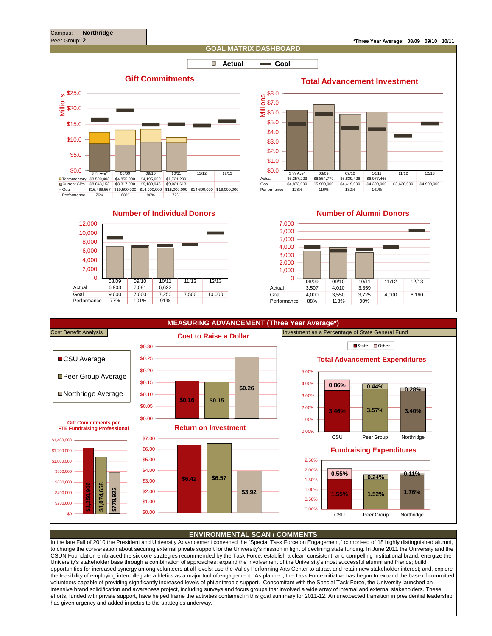

In the late Fall of 2010 the President and University Advancement convened the "Special Task Force on Engagement," comprised of 18 highly distinguished alumni, to change the conversation about securing external private support for the University's mission in light of declining state funding. In June 2011 the University and the CSUN Foundation embraced the six core strategies recommended by the Task Force: establish a clear, consistent, and compelling institutional brand; energize the University's stakeholder base through a combination of approaches; expand the involvement of the University's most successful alumni and friends; build opportunities for increased synergy among volunteers at all levels; use the Valley Performing Arts Center to attract and retain new stakeholder interest; and, explore the feasibility of employing intercollegiate athletics as a major tool of engagement. As planned, the Task Force initiative has begun to expand the base of committed volunteers capable of providing significantly increased levels of philanthropic support. Concomitant with the Special Task Force, the University launched an intensive brand solidification and awareness project, including surveys and focus groups that involved a wide array of internal and external stakeholders. These efforts, funded with private support, have helped frame the activities contained in this goal summary for 2011-12. An unexpected transition in presidential leadership has given urgency and added impetus to the strategies underway.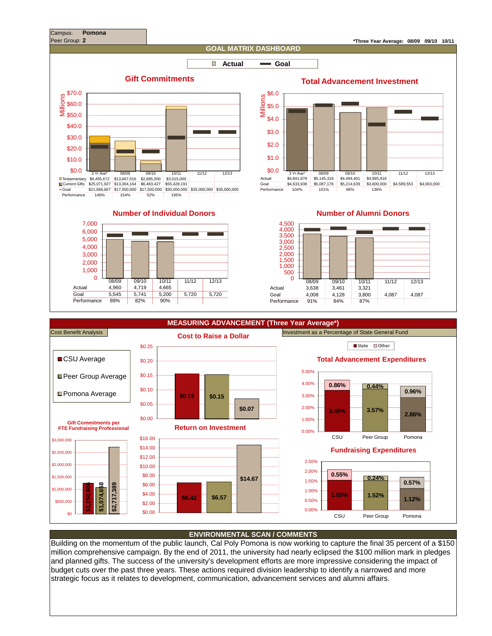

Building on the momentum of the public launch, Cal Poly Pomona is now working to capture the final 35 percent of a \$150 million comprehensive campaign. By the end of 2011, the university had nearly eclipsed the \$100 million mark in pledges and planned gifts. The success of the university's development efforts are more impressive considering the impact of budget cuts over the past three years. These actions required division leadership to identify a narrowed and more strategic focus as it relates to development, communication, advancement services and alumni affairs.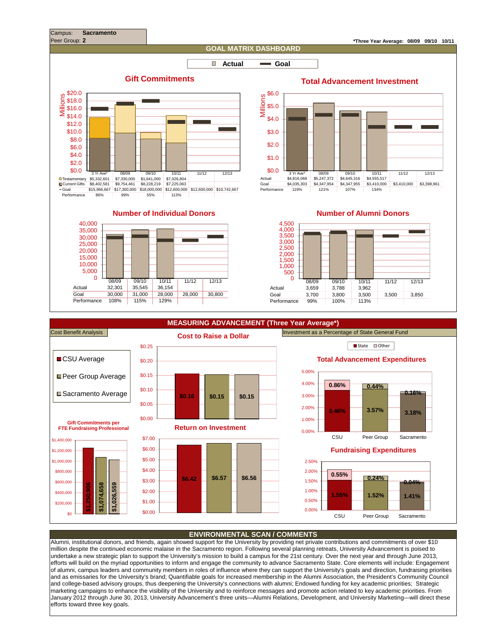

Alumni, institutional donors, and friends, again showed support for the University by providing net private contributions and commitments of over \$10 million despite the continued economic malaise in the Sacramento region. Following several planning retreats, University Advancement is poised to undertake a new strategic plan to support the University's mission to build a campus for the 21st century. Over the next year and through June 2013, efforts will build on the myriad opportunities to inform and engage the community to advance Sacramento State. Core elements will include: Engagement of alumni, campus leaders and community members in roles of influence where they can support the University's goals and direction, fundraising priorities and as emissaries for the University's brand; Quantifiable goals for increased membership in the Alumni Association, the President's Community Council and college-based advisory groups, thus deepening the University's connections with alumni; Endowed funding for key academic priorities; Strategic marketing campaigns to enhance the visibility of the University and to reinforce messages and promote action related to key academic priorities. From January 2012 through June 30, 2013, University Advancement's three units—Alumni Relations, Development, and University Marketing—will direct these efforts toward three key goals.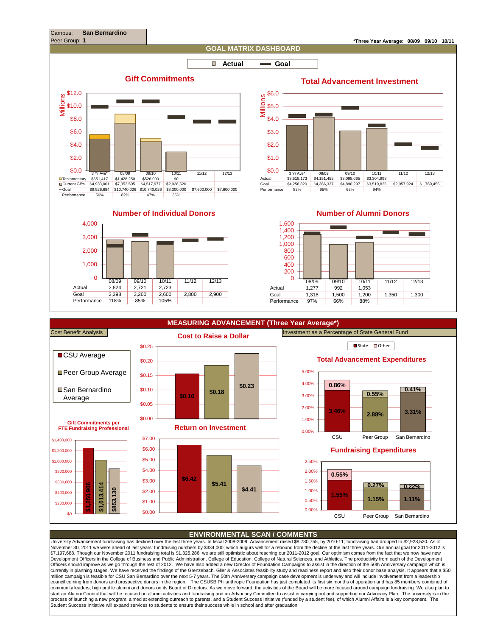

University Advancement fundraising has declined over the last three years. In fiscal 2008-2009, Advancement raised \$8,780,755, by 2010-11; fundraising had dropped to \$2,928,520. As of November 30, 2011 we were ahead of last years' fundraising numbers by \$334,000; which augurs well for a rebound from the decline of the last three years. Our annual goal for 2011-2012 is \$7,197,688. Though our November 2011 fundraising total is \$1,325,286, we are still optimistic about reaching our 2011-2012 goal. Our optimism comes from the fact that we now have new Development Officers in the College of Business and Public Administration, College of Education, College of Natural Sciences, and Athletics. The productivity from each of the Development<br>Officers should improve as we go th currently in planning stages. We have received the findings of the Grenzebach, Glier & Associates feasibility study and readiness report and also their donor base analysis. It appears that a \$50 million campaign is feasible for CSU San Bernardino over the next 5-7 years. The 50th Anniversary campaign case development is underway and will include involvement from a leadership council coming from donors and prospective donors in the region. The CSUSB Philanthropic Foundation has just completed its first six months of operation and has 85 members combined of<br>community leaders, high profile alum start an Alumni Council that will be focused on alumni activities and fundraising and an Advocacy Committee to assist in carrying out and supporting our Advocacy Plan. The university is in the rocess of launching a new program, aimed at extending outreach to parents, and a Student Success Initiative (funded by a student fee), of which Alumni Affairs is a key component. The Student Success Initiative will expand services to students to ensure their success while in school and after graduation.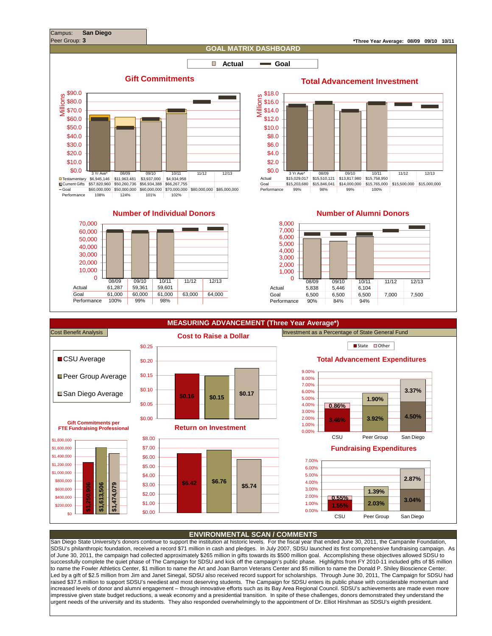

San Diego State University's donors continue to support the institution at historic levels. For the fiscal year that ended June 30, 2011, the Campanile Foundation, SDSU's philanthropic foundation, received a record \$71 million in cash and pledges. In July 2007, SDSU launched its first comprehensive fundraising campaign. As of June 30, 2011, the campaign had collected approximately \$265 million in gifts towards its \$500 million goal. Accomplishing these objectives allowed SDSU to successfully complete the quiet phase of The Campaign for SDSU and kick off the campaign's public phase. Highlights from FY 2010-11 included gifts of \$5 million to name the Fowler Athletics Center, \$1 million to name the Art and Joan Barron Veterans Center and \$5 million to name the Donald P. Shiley Bioscience Center. Led by a gift of \$2.5 million from Jim and Janet Sinegal, SDSU also received record support for scholarships. Through June 30, 2011, The Campaign for SDSU had raised \$37.5 million to support SDSU's neediest and most deserving students. The Campaign for SDSU enters its public phase with considerable momentum and increased levels of donor and alumni engagement – through innovative efforts such as its Bay Area Regional Council. SDSU's achievements are made even more impressive given state budget reductions, a weak economy and a presidential transition. In spite of these challenges, donors demonstrated they understand the urgent needs of the university and its students. They also responded overwhelmingly to the appointment of Dr. Elliot Hirshman as SDSU's eighth president.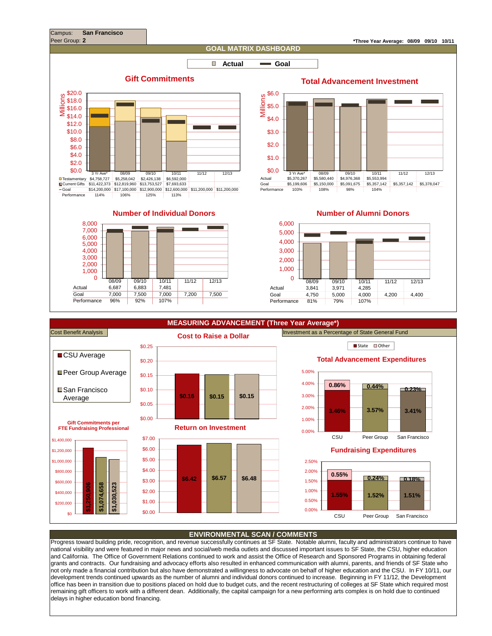



\$0.00





Progress toward building pride, recognition, and revenue successfully continues at SF State. Notable alumni, faculty and administrators continue to have national visibility and were featured in major news and social/web media outlets and discussed important issues to SF State, the CSU, higher education and California. The Office of Government Relations continued to work and assist the Office of Research and Sponsored Programs in obtaining federal grants and contracts. Our fundraising and advocacy efforts also resulted in enhanced communication with alumni, parents, and friends of SF State who not only made a financial contribution but also have demonstrated a willingness to advocate on behalf of higher education and the CSU. In FY 10/11, our development trends continued upwards as the number of alumni and individual donors continued to increase. Beginning in FY 11/12, the Development office has been in transition due to positions placed on hold due to budget cuts, and the recent restructuring of colleges at SF State which required most remaining gift officers to work with a different dean. Additionally, the capital campaign for a new performing arts complex is on hold due to continued delays in higher education bond financing.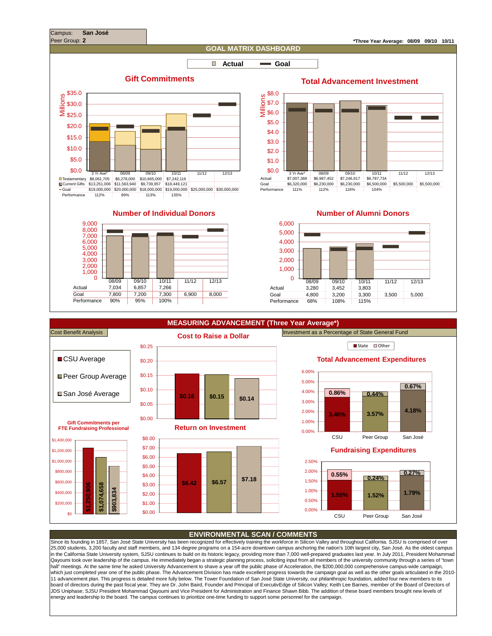

Since its founding in 1857, San José State University has been recognized for effectively training the workforce in Silicon Valley and throughout California. SJSU is comprised of over 25,000 students, 3,200 faculty and staff members, and 134 degree programs on a 154-acre downtown campus anchoring the nation's 10th largest city, San José. As the oldest campus in the California State University system, SJSU continues to build on its historic legacy, providing more than 7,000 well-prepared graduates last year. In July 2011, President Mohammad Qayoumi took over leadership of the campus. He immediately began a strategic planning process, soliciting input from all members of the university community through a series of "town hall" meetings. At the same time he asked University Advancement to shave a year off the public phase of Acceleration, the \$200,000,000 comprehensive campus-wide campaign, which just completed year one of the public phase. The Advancement Division has made excellent progress towards the campaign goal as well as the other goals articulated in the 2010-11 advancement plan. This progress is detailed more fully below. The Tower Foundation of San José State University, our philanthropic foundation, added four new members to its board of directors during the past fiscal year. They are Dr. John Baird, Founder and Principal of ExecutivEdge of Silicon Valley; Keith Lee Barnes, member of the Board of Directors of JDS Uniphase; SJSU President Mohammad Qayoumi and Vice President for Administration and Finance Shawn Bibb. The addition of these board members brought new levels of energy and leadership to the board. The campus continues to prioritize one-time funding to support some personnel for the campaign.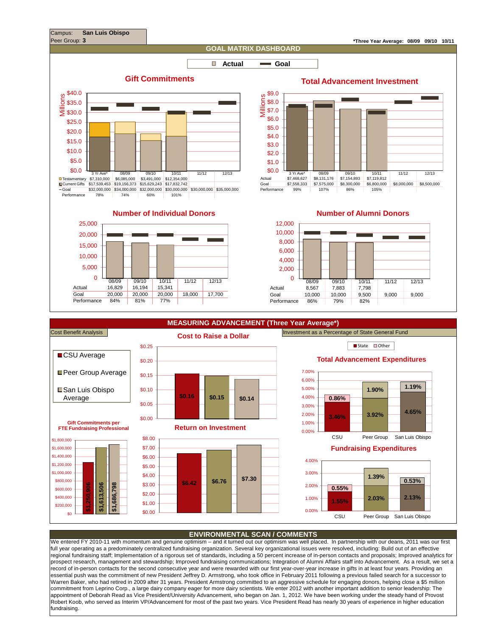

We entered FY 2010-11 with momentum and genuine optimism – and it turned out our optimism was well placed. In partnership with our deans, 2011 was our first full year operating as a predominately centralized fundraising organization. Several key organizational issues were resolved, including: Build out of an effective regional fundraising staff; Implementation of a rigorous set of standards, including a 50 percent increase of in-person contacts and proposals; Improved analytics for prospect research, management and stewardship; Improved fundraising communications; Integration of Alumni Affairs staff into Advancement. As a result, we set a record of in-person contacts for the second consecutive year and were rewarded with our first year-over-year increase in gifts in at least four years. Providing an essential push was the commitment of new President Jeffrey D. Armstrong, who took office in February 2011 following a previous failed search for a successor to Warren Baker, who had retired in 2009 after 31 years. President Armstrong committed to an aggressive schedule for engaging donors, helping close a \$5 million commitment from Leprino Corp., a large dairy company eager for more dairy scientists. We enter 2012 with another important addition to senior leadership: The appointment of Deborah Read as Vice President/University Advancement, who began on Jan. 1, 2012. We have been working under the steady hand of Provost Robert Koob, who served as Interim VP/Advancement for most of the past two years. Vice President Read has nearly 30 years of experience in higher education fundraising.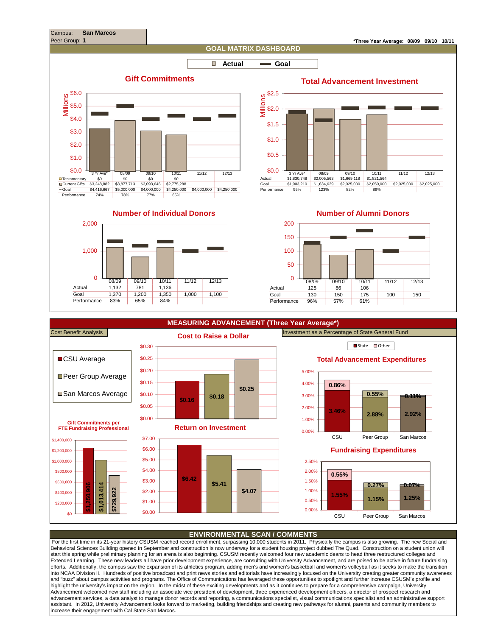

 For the first time in its 21-year history CSUSM reached record enrollment, surpassing 10,000 students in 2011. Physically the campus is also growing. The new Social and Behavioral Sciences Building opened in September and construction is now underway for a student housing project dubbed The Quad. Construction on a student union will start this spring while preliminary planning for an arena is also beginning. CSUSM recently welcomed four new academic deans to head three restructured colleges and Extended Learning. These new leaders all have prior development experience, are consulting with University Advancement, and are poised to be active in future fundraising efforts. Additionally, the campus saw the expansion of its athletics program, adding men's and women's basketball and women's volleyball as it seeks to make the transition into NCAA Division II. Hundreds of positive broadcast and print news stories and editorials have increasingly focused on the University creating greater community awareness and "buzz" about campus activities and programs. The Office of Communications has leveraged these opportunities to spotlight and further increase CSUSM's profile and highlight the university's impact on the region. In the midst of these exciting developments and as it continues to prepare for a comprehensive campaign, University Advancement welcomed new staff including an associate vice president of development, three experienced development officers, a director of prospect research and advancement services, a data analyst to manage donor records and reporting, a communications specialist, visual communications specialist and an administrative support assistant. In 2012, University Advancement looks forward to marketing, building friendships and creating new pathways for alumni, parents and community members to increase their engagement with Cal State San Marcos.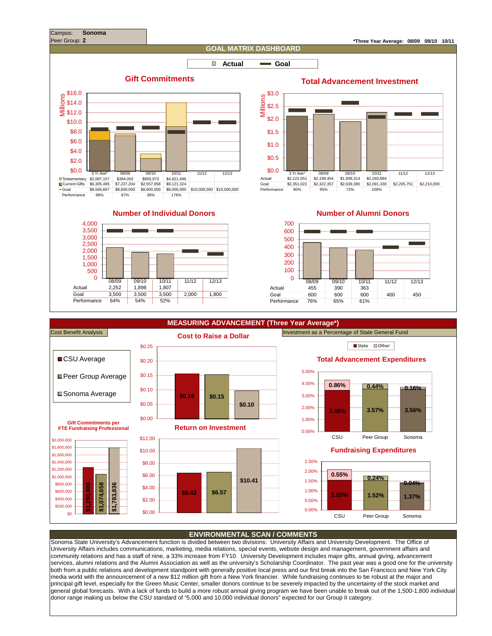

Sonoma State University's Advancement function is divided between two divisions: University Affairs and University Development. The Office of University Affairs includes communications, marketing, media relations, special events, website design and management, government affairs and community relations and has a staff of nine, a 33% increase from FY10. University Development includes major gifts, annual giving, advancement services, alumni relations and the Alumni Association as well as the university's Scholarship Coordinator. The past year was a good one for the university both from a public relations and development standpoint with generally positive local press and our first break into the San Francisco and New York City media world with the announcement of a new \$12 million gift from a New York financier. While fundraising continues to be robust at the major and principal gift level, especially for the Green Music Center, smaller donors continue to be severely impacted by the uncertainty of the stock market and general global forecasts. With a lack of funds to build a more robust annual giving program we have been unable to break out of the 1,500-1,800 individual donor range making us below the CSU standard of "5,000 and 10,000 individual donors" expected for our Group II category.